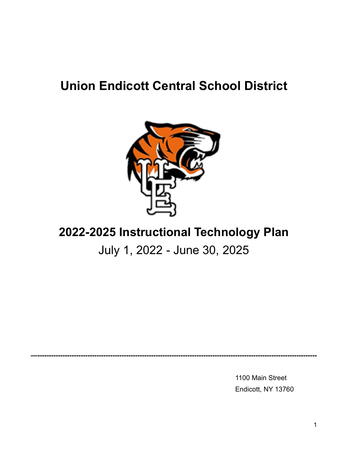### **Union Endicott Central School District**



### **2022-2025 Instructional Technology Plan**

### July 1, 2022 - June 30, 2025

**—---------------------------------------------------------------------------------------------------------------------------**

1100 Main Street Endicott, NY 13760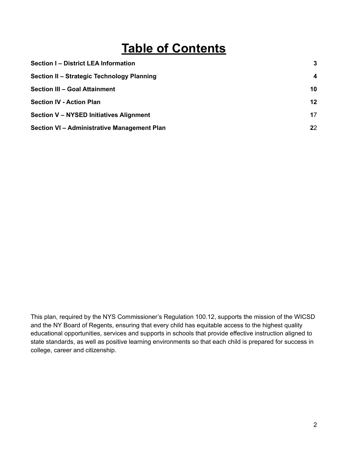## **Table of Contents**

| Section I - District LEA Information        | 3  |
|---------------------------------------------|----|
| Section II - Strategic Technology Planning  | 4  |
| <b>Section III - Goal Attainment</b>        | 10 |
| <b>Section IV - Action Plan</b>             | 12 |
| Section V - NYSED Initiatives Alignment     | 17 |
| Section VI - Administrative Management Plan | 22 |

This plan, required by the NYS Commissioner's Regulation 100.12, supports the mission of the WICSD and the NY Board of Regents, ensuring that every child has equitable access to the highest quality educational opportunities, services and supports in schools that provide effective instruction aligned to state standards, as well as positive learning environments so that each child is prepared for success in college, career and citizenship.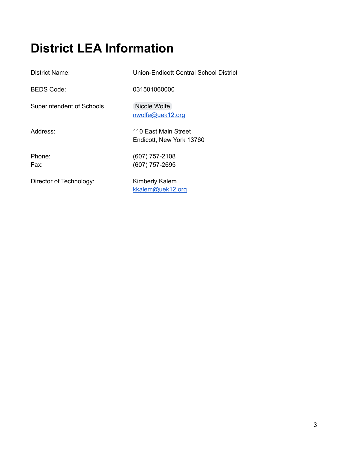## **District LEA Information**

District Name: Union-Endicott Central School District

BEDS Code: 031501060000

Superintendent of Schools [Nicole](mailto:nwolfe@uek12.org) Wolfe

Director of Technology: Kimberly Kalem

Address: 110 East Main Street

Endicott, New York 13760

[nwolfe@uek12.org](mailto:nwolfe@uek12.org)

Phone: (607) 757-2108 Fax: (607) 757-2695

[kkalem@uek12.org](mailto:kkalem@uek12.org)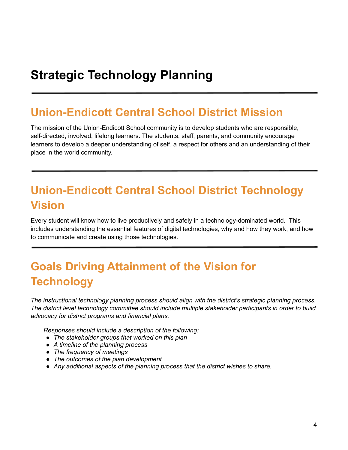### **Strategic Technology Planning**

### **Union-Endicott Central School District Mission**

The mission of the Union-Endicott School community is to develop students who are responsible, self-directed, involved, lifelong learners. The students, staff, parents, and community encourage learners to develop a deeper understanding of self, a respect for others and an understanding of their place in the world community.

### **Union-Endicott Central School District Technology Vision**

Every student will know how to live productively and safely in a technology-dominated world. This includes understanding the essential features of digital technologies, why and how they work, and how to communicate and create using those technologies.

### **Goals Driving Attainment of the Vision for Technology**

*The instructional technology planning process should align with the district's strategic planning process. The district level technology committee should include multiple stakeholder participants in order to build advocacy for district programs and financial plans.*

*Responses should include a description of the following:*

- *● The stakeholder groups that worked on this plan*
- *● A timeline of the planning process*
- *● The frequency of meetings*
- *● The outcomes of the plan development*
- *● Any additional aspects of the planning process that the district wishes to share.*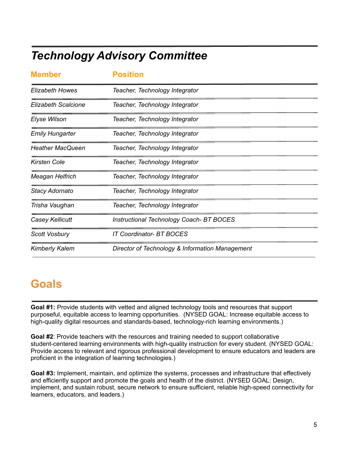### *Technology Advisory Committee*

| <b>Member</b>              | <b>Position</b>                                 |  |
|----------------------------|-------------------------------------------------|--|
| <b>Elizabeth Howes</b>     | Teacher, Technology Integrator                  |  |
| <b>Elizabeth Scalcione</b> | Teacher, Technology Integrator                  |  |
| <b>Elyse Wilson</b>        | Teacher, Technology Integrator                  |  |
| <b>Emily Hungarter</b>     | Teacher, Technology Integrator                  |  |
| <b>Heather MacQueen</b>    | Teacher, Technology Integrator                  |  |
| <b>Kirsten Cole</b>        | Teacher, Technology Integrator                  |  |
| Meagan Helfrich            | Teacher, Technology Integrator                  |  |
| Stacy Adornato             | Teacher, Technology Integrator                  |  |
| Trisha Vaughan             | Teacher, Technology Integrator                  |  |
| <b>Casey Kellicutt</b>     | <b>Instructional Technology Coach- BT BOCES</b> |  |
| <b>Scott Vosbury</b>       | <b>IT Coordinator- BT BOCES</b>                 |  |
| <b>Kimberly Kalem</b>      | Director of Technology & Information Management |  |

### **Goals**

**Goal #1:** Provide students with vetted and aligned technology tools and resources that support purposeful, equitable access to learning opportunities. (NYSED GOAL: Increase equitable access to high-quality digital resources and standards-based, technology-rich learning environments.)

**Goal #2**: Provide teachers with the resources and training needed to support collaborative student-centered learning environments with high-quality instruction for every student. (NYSED GOAL: Provide access to relevant and rigorous professional development to ensure educators and leaders are proficient in the integration of learning technologies.)

**Goal #3:** Implement, maintain, and optimize the systems, processes and infrastructure that effectively and efficiently support and promote the goals and health of the district. (NYSED GOAL: Design, implement, and sustain robust, secure network to ensure sufficient, reliable high-speed connectivity for learners, educators, and leaders.)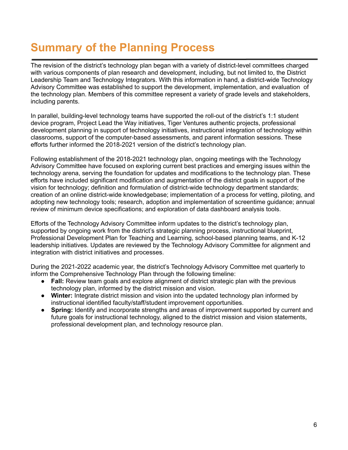## **Summary of the Planning Process**

The revision of the district's technology plan began with a variety of district-level committees charged with various components of plan research and development, including, but not limited to, the District Leadership Team and Technology Integrators. With this information in hand, a district-wide Technology Advisory Committee was established to support the development, implementation, and evaluation of the technology plan. Members of this committee represent a variety of grade levels and stakeholders, including parents.

In parallel, building-level technology teams have supported the roll-out of the district's 1:1 student device program, Project Lead the Way initiatives, Tiger Ventures authentic projects, professional development planning in support of technology initiatives, instructional integration of technology within classrooms, support of the computer-based assessments, and parent information sessions. These efforts further informed the 2018-2021 version of the district's technology plan.

Following establishment of the 2018-2021 technology plan, ongoing meetings with the Technology Advisory Committee have focused on exploring current best practices and emerging issues within the technology arena, serving the foundation for updates and modifications to the technology plan. These efforts have included significant modification and augmentation of the district goals in support of the vision for technology; definition and formulation of district-wide technology department standards; creation of an online district-wide knowledgebase; implementation of a process for vetting, piloting, and adopting new technology tools; research, adoption and implementation of screentime guidance; annual review of minimum device specifications; and exploration of data dashboard analysis tools.

Efforts of the Technology Advisory Committee inform updates to the district's technology plan, supported by ongoing work from the district's strategic planning process, instructional blueprint, Professional Development Plan for Teaching and Learning, school-based planning teams, and K-12 leadership initiatives. Updates are reviewed by the Technology Advisory Committee for alignment and integration with district initiatives and processes.

During the 2021-2022 academic year, the district's Technology Advisory Committee met quarterly to inform the Comprehensive Technology Plan through the following timeline:

- **Fall:** Review team goals and explore alignment of district strategic plan with the previous technology plan, informed by the district mission and vision.
- **Winter:** Integrate district mission and vision into the updated technology plan informed by instructional identified faculty/staff/student improvement opportunities.
- **Spring:** Identify and incorporate strengths and areas of improvement supported by current and future goals for instructional technology, aligned to the district mission and vision statements, professional development plan, and technology resource plan.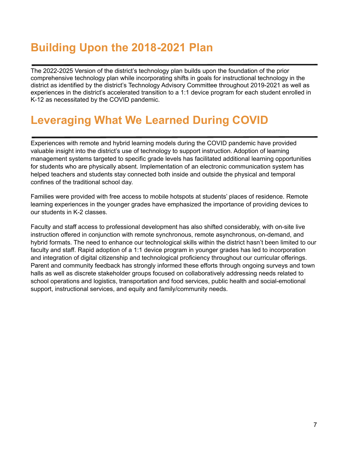### **Building Upon the 2018-2021 Plan**

The 2022-2025 Version of the district's technology plan builds upon the foundation of the prior comprehensive technology plan while incorporating shifts in goals for instructional technology in the district as identified by the district's Technology Advisory Committee throughout 2019-2021 as well as experiences in the district's accelerated transition to a 1:1 device program for each student enrolled in K-12 as necessitated by the COVID pandemic.

### **Leveraging What We Learned During COVID**

Experiences with remote and hybrid learning models during the COVID pandemic have provided valuable insight into the district's use of technology to support instruction. Adoption of learning management systems targeted to specific grade levels has facilitated additional learning opportunities for students who are physically absent. Implementation of an electronic communication system has helped teachers and students stay connected both inside and outside the physical and temporal confines of the traditional school day.

Families were provided with free access to mobile hotspots at students' places of residence. Remote learning experiences in the younger grades have emphasized the importance of providing devices to our students in K-2 classes.

Faculty and staff access to professional development has also shifted considerably, with on-site live instruction offered in conjunction with remote synchronous, remote asynchronous, on-demand, and hybrid formats. The need to enhance our technological skills within the district hasn't been limited to our faculty and staff. Rapid adoption of a 1:1 device program in younger grades has led to incorporation and integration of digital citizenship and technological proficiency throughout our curricular offerings. Parent and community feedback has strongly informed these efforts through ongoing surveys and town halls as well as discrete stakeholder groups focused on collaboratively addressing needs related to school operations and logistics, transportation and food services, public health and social-emotional support, instructional services, and equity and family/community needs.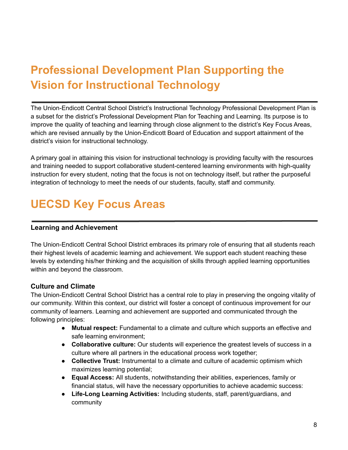## **Professional Development Plan Supporting the Vision for Instructional Technology**

The Union-Endicott Central School District's Instructional Technology Professional Development Plan is a subset for the district's Professional Development Plan for Teaching and Learning. Its purpose is to improve the quality of teaching and learning through close alignment to the district's Key Focus Areas, which are revised annually by the Union-Endicott Board of Education and support attainment of the district's vision for instructional technology.

A primary goal in attaining this vision for instructional technology is providing faculty with the resources and training needed to support collaborative student-centered learning environments with high-quality instruction for every student, noting that the focus is not on technology itself, but rather the purposeful integration of technology to meet the needs of our students, faculty, staff and community.

### **UECSD Key Focus Areas**

#### **Learning and Achievement**

The Union-Endicott Central School District embraces its primary role of ensuring that all students reach their highest levels of academic learning and achievement. We support each student reaching these levels by extending his/her thinking and the acquisition of skills through applied learning opportunities within and beyond the classroom.

#### **Culture and Climate**

The Union-Endicott Central School District has a central role to play in preserving the ongoing vitality of our community. Within this context, our district will foster a concept of continuous improvement for our community of learners. Learning and achievement are supported and communicated through the following principles:

- **Mutual respect:** Fundamental to a climate and culture which supports an effective and safe learning environment;
- **Collaborative culture:** Our students will experience the greatest levels of success in a culture where all partners in the educational process work together;
- **Collective Trust:** Instrumental to a climate and culture of academic optimism which maximizes learning potential;
- **Equal Access:** All students, notwithstanding their abilities, experiences, family or financial status, will have the necessary opportunities to achieve academic success:
- **Life-Long Learning Activities:** Including students, staff, parent/guardians, and community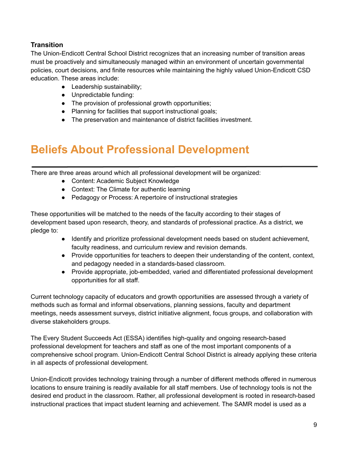#### **Transition**

The Union-Endicott Central School District recognizes that an increasing number of transition areas must be proactively and simultaneously managed within an environment of uncertain governmental policies, court decisions, and finite resources while maintaining the highly valued Union-Endicott CSD education. These areas include:

- Leadership sustainability;
- Unpredictable funding:
- The provision of professional growth opportunities;
- Planning for facilities that support instructional goals;
- The preservation and maintenance of district facilities investment.

### **Beliefs About Professional Development**

There are three areas around which all professional development will be organized:

- Content: Academic Subject Knowledge
- Context: The Climate for authentic learning
- Pedagogy or Process: A repertoire of instructional strategies

These opportunities will be matched to the needs of the faculty according to their stages of development based upon research, theory, and standards of professional practice. As a district, we pledge to:

- Identify and prioritize professional development needs based on student achievement, faculty readiness, and curriculum review and revision demands.
- Provide opportunities for teachers to deepen their understanding of the content, context, and pedagogy needed in a standards-based classroom.
- Provide appropriate, job-embedded, varied and differentiated professional development opportunities for all staff.

Current technology capacity of educators and growth opportunities are assessed through a variety of methods such as formal and informal observations, planning sessions, faculty and department meetings, needs assessment surveys, district initiative alignment, focus groups, and collaboration with diverse stakeholders groups.

The Every Student Succeeds Act (ESSA) identifies high-quality and ongoing research-based professional development for teachers and staff as one of the most important components of a comprehensive school program. Union-Endicott Central School District is already applying these criteria in all aspects of professional development.

Union-Endicott provides technology training through a number of different methods offered in numerous locations to ensure training is readily available for all staff members. Use of technology tools is not the desired end product in the classroom. Rather, all professional development is rooted in research-based instructional practices that impact student learning and achievement. The SAMR model is used as a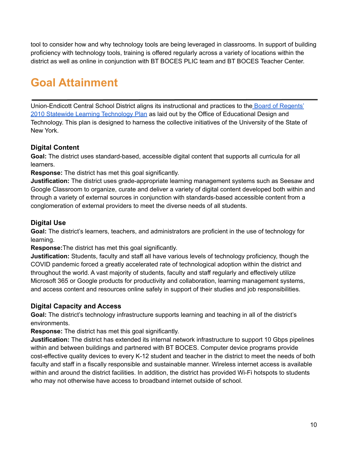tool to consider how and why technology tools are being leveraged in classrooms. In support of building proficiency with technology tools, training is offered regularly across a variety of locations within the district as well as online in conjunction with BT BOCES PLIC team and BT BOCES Teacher Center.

### **Goal Attainment**

Union-Endicott Central School District aligns its instructional and practices to the Board of [Regents'](http://www.regents.nysed.gov/common/regents/files/documents/meetings/2010Meetings/February2010/0210bra3.doc) 2010 Statewide Learning [Technology](http://www.regents.nysed.gov/common/regents/files/documents/meetings/2010Meetings/February2010/0210bra3.doc) Plan as laid out by the Office of Educational Design and Technology. This plan is designed to harness the collective initiatives of the University of the State of New York.

#### **Digital Content**

**Goal:** The district uses standard-based, accessible digital content that supports all curricula for all learners.

**Response:** The district has met this goal significantly.

**Justification:** The district uses grade-appropriate learning management systems such as Seesaw and Google Classroom to organize, curate and deliver a variety of digital content developed both within and through a variety of external sources in conjunction with standards-based accessible content from a conglomeration of external providers to meet the diverse needs of all students.

#### **Digital Use**

**Goal:** The district's learners, teachers, and administrators are proficient in the use of technology for learning.

**Response:**The district has met this goal significantly.

**Justification:** Students, faculty and staff all have various levels of technology proficiency, though the COVID pandemic forced a greatly accelerated rate of technological adoption within the district and throughout the world. A vast majority of students, faculty and staff regularly and effectively utilize Microsoft 365 or Google products for productivity and collaboration, learning management systems, and access content and resources online safely in support of their studies and job responsibilities.

#### **Digital Capacity and Access**

**Goal:** The district's technology infrastructure supports learning and teaching in all of the district's environments.

**Response:** The district has met this goal significantly.

**Justification:** The district has extended its internal network infrastructure to support 10 Gbps pipelines within and between buildings and partnered with BT BOCES. Computer device programs provide cost-effective quality devices to every K-12 student and teacher in the district to meet the needs of both faculty and staff in a fiscally responsible and sustainable manner. Wireless internet access is available within and around the district facilities. In addition, the district has provided Wi-Fi hotspots to students who may not otherwise have access to broadband internet outside of school.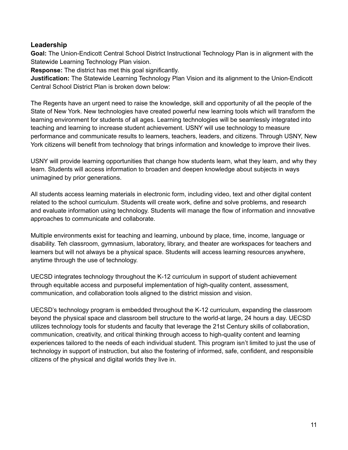#### **Leadership**

**Goal:** The Union-Endicott Central School District Instructional Technology Plan is in alignment with the Statewide Learning Technology Plan vision.

**Response:** The district has met this goal significantly.

**Justification:** The Statewide Learning Technology Plan Vision and its alignment to the Union-Endicott Central School District Plan is broken down below:

The Regents have an urgent need to raise the knowledge, skill and opportunity of all the people of the State of New York. New technologies have created powerful new learning tools which will transform the learning environment for students of all ages. Learning technologies will be seamlessly integrated into teaching and learning to increase student achievement. USNY will use technology to measure performance and communicate results to learners, teachers, leaders, and citizens. Through USNY, New York citizens will benefit from technology that brings information and knowledge to improve their lives.

USNY will provide learning opportunities that change how students learn, what they learn, and why they learn. Students will access information to broaden and deepen knowledge about subjects in ways unimagined by prior generations.

All students access learning materials in electronic form, including video, text and other digital content related to the school curriculum. Students will create work, define and solve problems, and research and evaluate information using technology. Students will manage the flow of information and innovative approaches to communicate and collaborate.

Multiple environments exist for teaching and learning, unbound by place, time, income, language or disability. Teh classroom, gymnasium, laboratory, library, and theater are workspaces for teachers and learners but will not always be a physical space. Students will access learning resources anywhere, anytime through the use of technology.

UECSD integrates technology throughout the K-12 curriculum in support of student achievement through equitable access and purposeful implementation of high-quality content, assessment, communication, and collaboration tools aligned to the district mission and vision.

UECSD's technology program is embedded throughout the K-12 curriculum, expanding the classroom beyond the physical space and classroom bell structure to the world-at large, 24 hours a day. UECSD utilizes technology tools for students and faculty that leverage the 21st Century skills of collaboration, communication, creativity, and critical thinking through access to high-quality content and learning experiences tailored to the needs of each individual student. This program isn't limited to just the use of technology in support of instruction, but also the fostering of informed, safe, confident, and responsible citizens of the physical and digital worlds they live in.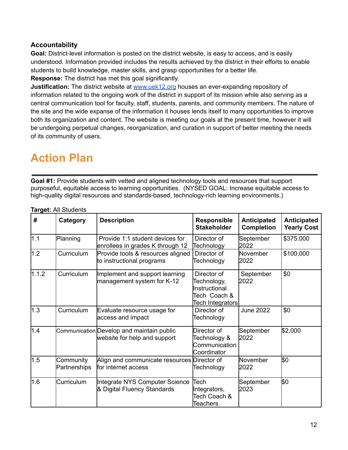#### **Accountability**

**Goal:** District-level information is posted on the district website, is easy to access, and is easily understood. Information provided includes the results achieved by the district in their efforts to enable students to build knowledge, master skills, and grasp opportunities for a better life. **Response:** The district has met this goal significantly.

**Justification:** The district website at [www.uek12.org](http://www.uek12.org) houses an ever-expanding repository of information related to the ongoing work of the district in support of its mission while also serving as a central communication tool for faculty, staff, students, parents, and community members. The nature of the site and the wide expanse of the information it houses lends itself to many opportunities to improve both its organization and content. The website is meeting our goals at the present time, however it will be undergoing perpetual changes, reorganization, and curation in support of better meeting the needs of its community of users.

### **Action Plan**

**Goal #1:** Provide students with vetted and aligned technology tools and resources that support purposeful, equitable access to learning opportunities. (NYSED GOAL: Increase equitable access to high-quality digital resources and standards-based, technology-rich learning environments.)

| #     | Category                  | <b>Description</b>                                                        | <b>Responsible</b><br><b>Stakeholder</b>                                        | <b>Anticipated</b><br><b>Completion</b> | Anticipated<br><b>Yearly Cost</b> |
|-------|---------------------------|---------------------------------------------------------------------------|---------------------------------------------------------------------------------|-----------------------------------------|-----------------------------------|
| 1.1   | Planning                  | Provide 1:1 student devices for<br>enrollees in grades K through 12       | Director of<br>Technology                                                       | September<br>2022                       | \$375.000                         |
| 1.2   | Curriculum                | Provide tools & resources aligned<br>to instructional programs            | Director of<br>Technology                                                       | November<br>2022                        | \$100,000                         |
| 1.1.2 | Curriculum                | Implement and support learning<br>management system for K-12              | Director of<br>Technology,<br>Instructional<br>Tech Coach &<br>Tech Integrators | September<br>2022                       | \$0                               |
| 1.3   | Curriculum                | Evaluate resource usage for<br>access and impact                          | Director of<br>Technology                                                       | <b>June 2022</b>                        | \$0                               |
| 1.4   |                           | Communication Develop and maintain public<br>website for help and support | Director of<br>Technology &<br>Communication<br>Coordinator                     | September<br>2022                       | \$2,000                           |
| 1.5   | Community<br>Partnerships | Align and communicate resources Director of<br>for internet access        | Technology                                                                      | November<br>2022                        | \$0                               |
| 1.6   | Curriculum                | Integrate NYS Computer Science<br>& Digital Fluency Standards             | Tech<br>Integrators,<br>Tech Coach &<br>Teachers                                | September<br>2023                       | <b>S</b> Ο                        |

**Target:** All Students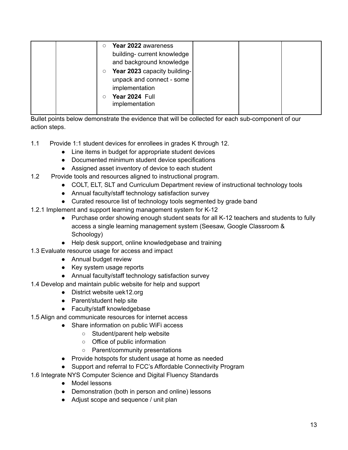| $\circ$ | Year 2022 awareness          |  |  |
|---------|------------------------------|--|--|
|         | building- current knowledge  |  |  |
|         | and background knowledge     |  |  |
| $\circ$ | Year 2023 capacity building- |  |  |
|         | unpack and connect - some    |  |  |
|         | implementation               |  |  |
|         | Year 2024 Full               |  |  |
|         | implementation               |  |  |

Bullet points below demonstrate the evidence that will be collected for each sub-component of our action steps.

- 1.1 Provide 1:1 student devices for enrollees in grades K through 12.
	- Line items in budget for appropriate student devices
	- Documented minimum student device specifications
	- Assigned asset inventory of device to each student
- 1.2 Provide tools and resources aligned to instructional program.
	- COLT, ELT, SLT and Curriculum Department review of instructional technology tools
	- Annual faculty/staff technology satisfaction survey
	- Curated resource list of technology tools segmented by grade band
- 1.2.1 Implement and support learning management system for K-12
	- Purchase order showing enough student seats for all K-12 teachers and students to fully access a single learning management system (Seesaw, Google Classroom & Schoology)
	- Help desk support, online knowledgebase and training
- 1.3 Evaluate resource usage for access and impact
	- Annual budget review
	- Key system usage reports
	- Annual faculty/staff technology satisfaction survey
- 1.4 Develop and maintain public website for help and support
	- District website uek12.org
	- Parent/student help site
	- Faculty/staff knowledgebase
- 1.5 Align and communicate resources for internet access
	- Share information on public WiFi access
		- Student/parent help website
		- Office of public information
		- Parent/community presentations
		- Provide hotspots for student usage at home as needed
		- Support and referral to FCC's Affordable Connectivity Program
- 1.6 Integrate NYS Computer Science and Digital Fluency Standards
	- Model lessons
	- Demonstration (both in person and online) lessons
	- Adjust scope and sequence / unit plan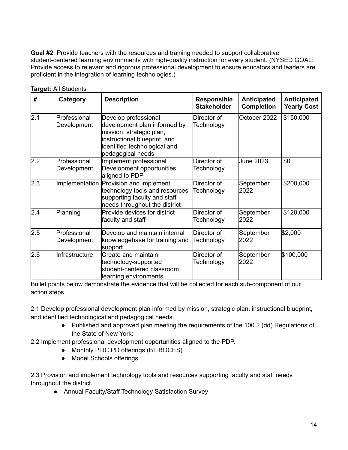**Goal #2**: Provide teachers with the resources and training needed to support collaborative student-centered learning environments with high-quality instruction for every student. (NYSED GOAL: Provide access to relevant and rigorous professional development to ensure educators and leaders are proficient in the integration of learning technologies.)

| #   | Category                    | <b>Description</b><br><b>Responsible</b><br><b>Stakeholder</b>                                                                                                        |                           | <b>Anticipated</b><br><b>Completion</b> | <b>Anticipated</b><br><b>Yearly Cost</b> |  |
|-----|-----------------------------|-----------------------------------------------------------------------------------------------------------------------------------------------------------------------|---------------------------|-----------------------------------------|------------------------------------------|--|
| 2.1 | Professional<br>Development | Develop professional<br>development plan informed by<br>mission, strategic plan,<br>instructional blueprint, and<br>identified technological and<br>pedagogical needs | Director of<br>Technology | October 2022                            | \$150,000                                |  |
| 2.2 | Professional<br>Development | Implement professional<br>Development opportunities<br>aligned to PDP                                                                                                 | Director of<br>Technology | <b>June 2023</b>                        | \$0                                      |  |
| 2.3 |                             | Implementation Provision and implement<br>technology tools and resources<br>supporting faculty and staff<br>needs throughout the district                             | Director of<br>Technology | September<br>2022                       | \$200,000                                |  |
| 2.4 | Planning                    | Provide devices for district<br>faculty and staff                                                                                                                     | Director of<br>Technology | September<br>2022                       | \$120,000                                |  |
| 2.5 | Professional<br>Development | Develop and maintain internal<br>knowledgebase for training and<br>support                                                                                            | Director of<br>Technology | September<br>2022                       | \$2,000                                  |  |
| 2.6 | Infrastructure              | Create and maintain<br>technology-supported<br>student-centered classroom<br>learning environments                                                                    | Director of<br>Technology | September<br>2022                       | \$100,000                                |  |

**Target:** All Students

Bullet points below demonstrate the evidence that will be collected for each sub-component of our action steps.

2.1 Develop professional development plan informed by mission, strategic plan, instructional blueprint, and identified technological and pedagogical needs.

- Published and approved plan meeting the requirements of the 100.2 (dd) Regulations of the State of New York:
- 2.2 Implement professional development opportunities aligned to the PDP.
	- Monthly PLIC PD offerings (BT BOCES)
	- Model Schools offerings

2.3 Provision and implement technology tools and resources supporting faculty and staff needs throughout the district.

● Annual Faculty/Staff Technology Satisfaction Survey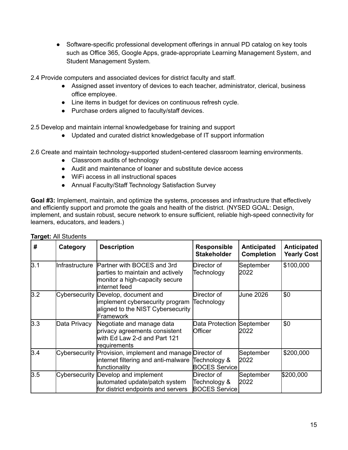• Software-specific professional development offerings in annual PD catalog on key tools such as Office 365, Google Apps, grade-appropriate Learning Management System, and Student Management System.

2.4 Provide computers and associated devices for district faculty and staff.

- Assigned asset inventory of devices to each teacher, administrator, clerical, business office employee.
- Line items in budget for devices on continuous refresh cycle.
- Purchase orders aligned to faculty/staff devices.

2.5 Develop and maintain internal knowledgebase for training and support

● Updated and curated district knowledgebase of IT support information

2.6 Create and maintain technology-supported student-centered classroom learning environments.

- Classroom audits of technology
- Audit and maintenance of loaner and substitute device access
- WiFi access in all instructional spaces
- Annual Faculty/Staff Technology Satisfaction Survey

**Goal #3:** Implement, maintain, and optimize the systems, processes and infrastructure that effectively and efficiently support and promote the goals and health of the district. (NYSED GOAL: Design, implement, and sustain robust, secure network to ensure sufficient, reliable high-speed connectivity for learners, educators, and leaders.)

| #   | Category       | <b>Description</b>                                                                                                             | <b>Responsible</b><br><b>Stakeholder</b>            | Anticipated<br><b>Completion</b> | <b>Anticipated</b><br><b>Yearly Cost</b> |
|-----|----------------|--------------------------------------------------------------------------------------------------------------------------------|-----------------------------------------------------|----------------------------------|------------------------------------------|
| 3.1 | Infrastructure | Partner with BOCES and 3rd<br>parties to maintain and actively<br>monitor a high-capacity secure<br>linternet feed             | Director of<br>Technology                           | September<br>2022                | \$100,000                                |
| 3.2 |                | Cybersecurity Develop, document and<br>implement cybersecurity program<br>aligned to the NIST Cybersecurity<br>Framework       | Director of<br>Technology                           | <b>June 2026</b>                 | \$0                                      |
| 3.3 | Data Privacy   | Negotiate and manage data<br>privacy agreements consistent<br>with Ed Law 2-d and Part 121<br>requirements                     | Data Protection<br><b>Officer</b>                   | September<br>2022                | \$0                                      |
| 3.4 |                | Cybersecurity Provision, implement and manage Director of<br>internet filtering and anti-malware Technology &<br>functionality | <b>BOCES Service</b>                                | September<br>2022                | \$200,000                                |
| 3.5 |                | Cybersecurity Develop and implement<br>automated update/patch system<br>for district endpoints and servers                     | Director of<br>Technology &<br><b>BOCES Service</b> | September<br>2022                | \$200,000                                |

#### **Target:** All Students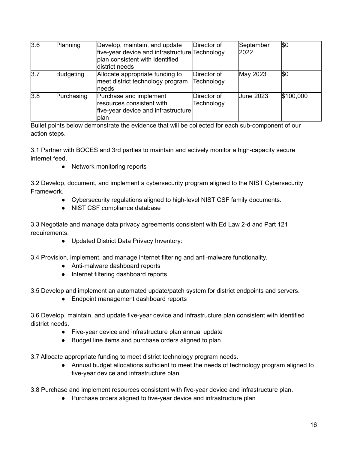| 3.6 | Planning   | Develop, maintain, and update<br>five-year device and infrastructure Technology<br>plan consistent with identified<br>district needs | Director of               | September<br>2022 | ISO       |
|-----|------------|--------------------------------------------------------------------------------------------------------------------------------------|---------------------------|-------------------|-----------|
| 3.7 | Budgeting  | Allocate appropriate funding to<br>meet district technology program<br><b>Ineeds</b>                                                 | Director of<br>Technology | May 2023          | ISO       |
| 3.8 | Purchasing | Purchase and implement<br>resources consistent with<br>five-year device and infrastructure<br><b>lplan</b>                           | Director of<br>Technology | <b>June 2023</b>  | \$100,000 |

Bullet points below demonstrate the evidence that will be collected for each sub-component of our action steps.

3.1 Partner with BOCES and 3rd parties to maintain and actively monitor a high-capacity secure internet feed.

• Network monitoring reports

3.2 Develop, document, and implement a cybersecurity program aligned to the NIST Cybersecurity Framework.

- Cybersecurity regulations aligned to high-level NIST CSF family documents.
- NIST CSF compliance database

3.3 Negotiate and manage data privacy agreements consistent with Ed Law 2-d and Part 121 requirements.

● Updated District Data Privacy Inventory:

3.4 Provision, implement, and manage internet filtering and anti-malware functionality.

- Anti-malware dashboard reports
- Internet filtering dashboard reports

3.5 Develop and implement an automated update/patch system for district endpoints and servers.

● Endpoint management dashboard reports

3.6 Develop, maintain, and update five-year device and infrastructure plan consistent with identified district needs.

- Five-year device and infrastructure plan annual update
- Budget line items and purchase orders aligned to plan

3.7 Allocate appropriate funding to meet district technology program needs.

● Annual budget allocations sufficient to meet the needs of technology program aligned to five-year device and infrastructure plan.

3.8 Purchase and implement resources consistent with five-year device and infrastructure plan.

● Purchase orders aligned to five-year device and infrastructure plan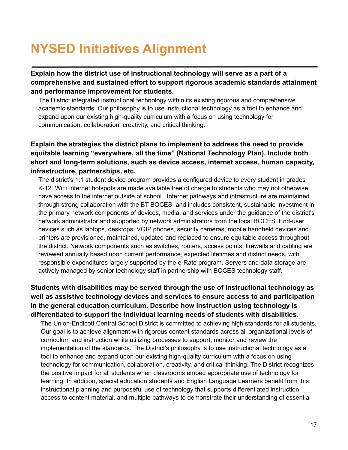# **NYSED Initiatives Alignment**

**Explain how the district use of instructional technology will serve as a part of a comprehensive and sustained effort to support rigorous academic standards attainment and performance improvement for students.**

The District integrated instructional technology within its existing rigorous and comprehensive academic standards. Our philosophy is to use instructional technology as a tool to enhance and expand upon our existing high-quality curriculum with a focus on using technology for communication, collaboration, creativity, and critical thinking.

#### **Explain the strategies the district plans to implement to address the need to provide equitable learning "everywhere, all the time" (National Technology Plan). Include both short and long-term solutions, such as device access, internet access, human capacity, infrastructure, partnerships, etc.**

The district's 1:1 student device program provides a configured device to every student in grades K-12. WiFi internet hotspots are made available free of charge to students who may not otherwise have access to the internet outside of school. Internet pathways and infrastructure are maintained through strong collaboration with the BT BOCES and includes consistent, sustainable investment in the primary network components of devices, media, and services under the guidance of the district's network administrator and supported by network administrators from the local BOCES. End-user devices such as laptops, desktops, VOIP phones, security cameras, mobile handheld devices and printers are provisioned, maintained, updated and replaced to ensure equitable access throughout the district. Network components such as switches, routers, access points, firewalls and cabling are reviewed annually based upon current performance, expected lifetimes and district needs, with responsible expenditures largely supported by the e-Rate program. Servers and data storage are actively managed by senior technology staff in partnership with BOCES technology staff.

#### **Students with disabilities may be served through the use of instructional technology as well as assistive technology devices and services to ensure access to and participation in the general education curriculum. Describe how instruction using technology is differentiated to support the individual learning needs of students with disabilities.**

The Union-Endicott Central School District is committed to achieving high standards for all students. Our goal is to achieve alignment with rigorous content standards across all organizational levels of curriculum and instruction while utilizing processes to support, monitor and review the implementation of the standards. The District's philosophy is to use instructional technology as a tool to enhance and expand upon our existing high-quality curriculum with a focus on using technology for communication, collaboration, creativity, and critical thinking. The District recognizes the positive impact for all students when classrooms embed appropriate use of technology for learning. In addition, special education students and English Language Learners benefit from this instructional planning and purposeful use of technology that supports differentiated instruction, access to content material, and multiple pathways to demonstrate their understanding of essential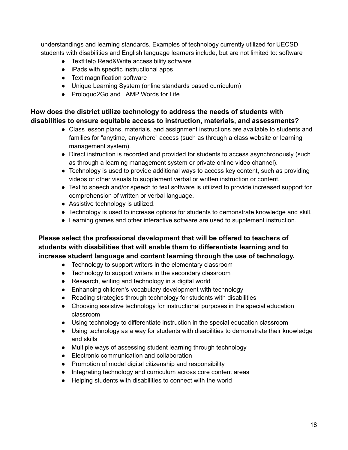understandings and learning standards. Examples of technology currently utilized for UECSD students with disabilities and English language learners include, but are not limited to: software

- TextHelp Read&Write accessibility software
- iPads with specific instructional apps
- Text magnification software
- Unique Learning System (online standards based curriculum)
- Proloquo2Go and LAMP Words for Life

#### **How does the district utilize technology to address the needs of students with disabilities to ensure equitable access to instruction, materials, and assessments?**

- Class lesson plans, materials, and assignment instructions are available to students and families for "anytime, anywhere" access (such as through a class website or learning management system).
- Direct instruction is recorded and provided for students to access asynchronously (such as through a learning management system or private online video channel).
- Technology is used to provide additional ways to access key content, such as providing videos or other visuals to supplement verbal or written instruction or content.
- Text to speech and/or speech to text software is utilized to provide increased support for comprehension of written or verbal language.
- Assistive technology is utilized.
- Technology is used to increase options for students to demonstrate knowledge and skill.
- Learning games and other interactive software are used to supplement instruction.

#### **Please select the professional development that will be offered to teachers of students with disabilities that will enable them to differentiate learning and to increase student language and content learning through the use of technology.**

- Technology to support writers in the elementary classroom
- Technology to support writers in the secondary classroom
- Research, writing and technology in a digital world
- Enhancing children's vocabulary development with technology
- Reading strategies through technology for students with disabilities
- Choosing assistive technology for instructional purposes in the special education classroom
- Using technology to differentiate instruction in the special education classroom
- Using technology as a way for students with disabilities to demonstrate their knowledge and skills
- Multiple ways of assessing student learning through technology
- Electronic communication and collaboration
- Promotion of model digital citizenship and responsibility
- Integrating technology and curriculum across core content areas
- Helping students with disabilities to connect with the world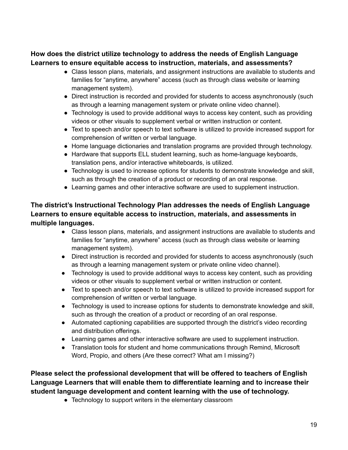#### **How does the district utilize technology to address the needs of English Language Learners to ensure equitable access to instruction, materials, and assessments?**

- Class lesson plans, materials, and assignment instructions are available to students and families for "anytime, anywhere" access (such as through class website or learning management system).
- Direct instruction is recorded and provided for students to access asynchronously (such as through a learning management system or private online video channel).
- Technology is used to provide additional ways to access key content, such as providing videos or other visuals to supplement verbal or written instruction or content.
- Text to speech and/or speech to text software is utilized to provide increased support for comprehension of written or verbal language.
- Home language dictionaries and translation programs are provided through technology.
- Hardware that supports ELL student learning, such as home-language keyboards, translation pens, and/or interactive whiteboards, is utilized.
- Technology is used to increase options for students to demonstrate knowledge and skill, such as through the creation of a product or recording of an oral response.
- Learning games and other interactive software are used to supplement instruction.

#### **The district's Instructional Technology Plan addresses the needs of English Language Learners to ensure equitable access to instruction, materials, and assessments in multiple languages.**

- Class lesson plans, materials, and assignment instructions are available to students and families for "anytime, anywhere" access (such as through class website or learning management system).
- Direct instruction is recorded and provided for students to access asynchronously (such as through a learning management system or private online video channel).
- Technology is used to provide additional ways to access key content, such as providing videos or other visuals to supplement verbal or written instruction or content.
- Text to speech and/or speech to text software is utilized to provide increased support for comprehension of written or verbal language.
- Technology is used to increase options for students to demonstrate knowledge and skill, such as through the creation of a product or recording of an oral response.
- Automated captioning capabilities are supported through the district's video recording and distribution offerings.
- Learning games and other interactive software are used to supplement instruction.
- Translation tools for student and home communications through Remind, Microsoft Word, Propio, and others (Are these correct? What am I missing?)

#### **Please select the professional development that will be offered to teachers of English Language Learners that will enable them to differentiate learning and to increase their student language development and content learning with the use of technology.**

• Technology to support writers in the elementary classroom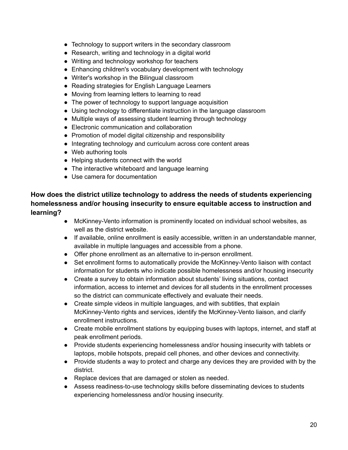- Technology to support writers in the secondary classroom
- Research, writing and technology in a digital world
- Writing and technology workshop for teachers
- Enhancing children's vocabulary development with technology
- Writer's workshop in the Bilingual classroom
- Reading strategies for English Language Learners
- Moving from learning letters to learning to read
- The power of technology to support language acquisition
- Using technology to differentiate instruction in the language classroom
- Multiple ways of assessing student learning through technology
- Electronic communication and collaboration
- Promotion of model digital citizenship and responsibility
- Integrating technology and curriculum across core content areas
- Web authoring tools
- Helping students connect with the world
- The interactive whiteboard and language learning
- Use camera for documentation

#### **How does the district utilize technology to address the needs of students experiencing homelessness and/or housing insecurity to ensure equitable access to instruction and learning?**

- McKinney-Vento information is prominently located on individual school websites, as well as the district website.
- If available, online enrollment is easily accessible, written in an understandable manner, available in multiple languages and accessible from a phone.
- Offer phone enrollment as an alternative to in-person enrollment.
- Set enrollment forms to automatically provide the McKinney-Vento liaison with contact information for students who indicate possible homelessness and/or housing insecurity
- Create a survey to obtain information about students' living situations, contact information, access to internet and devices for all students in the enrollment processes so the district can communicate effectively and evaluate their needs.
- Create simple videos in multiple languages, and with subtitles, that explain McKinney-Vento rights and services, identify the McKinney-Vento liaison, and clarify enrollment instructions.
- Create mobile enrollment stations by equipping buses with laptops, internet, and staff at peak enrollment periods.
- Provide students experiencing homelessness and/or housing insecurity with tablets or laptops, mobile hotspots, prepaid cell phones, and other devices and connectivity.
- Provide students a way to protect and charge any devices they are provided with by the district.
- Replace devices that are damaged or stolen as needed.
- Assess readiness-to-use technology skills before disseminating devices to students experiencing homelessness and/or housing insecurity.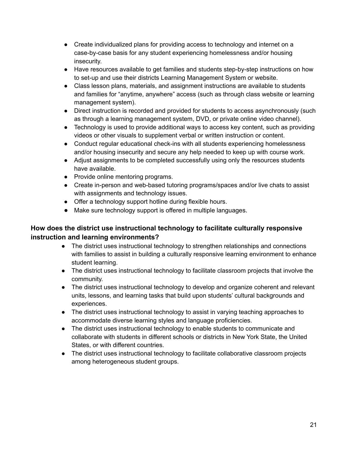- Create individualized plans for providing access to technology and internet on a case-by-case basis for any student experiencing homelessness and/or housing insecurity.
- Have resources available to get families and students step-by-step instructions on how to set-up and use their districts Learning Management System or website.
- Class lesson plans, materials, and assignment instructions are available to students and families for "anytime, anywhere" access (such as through class website or learning management system).
- Direct instruction is recorded and provided for students to access asynchronously (such as through a learning management system, DVD, or private online video channel).
- Technology is used to provide additional ways to access key content, such as providing videos or other visuals to supplement verbal or written instruction or content.
- Conduct regular educational check-ins with all students experiencing homelessness and/or housing insecurity and secure any help needed to keep up with course work.
- Adjust assignments to be completed successfully using only the resources students have available.
- Provide online mentoring programs.
- Create in-person and web-based tutoring programs/spaces and/or live chats to assist with assignments and technology issues.
- Offer a technology support hotline during flexible hours.
- Make sure technology support is offered in multiple languages.

#### **How does the district use instructional technology to facilitate culturally responsive instruction and learning environments?**

- The district uses instructional technology to strengthen relationships and connections with families to assist in building a culturally responsive learning environment to enhance student learning.
- The district uses instructional technology to facilitate classroom projects that involve the community.
- The district uses instructional technology to develop and organize coherent and relevant units, lessons, and learning tasks that build upon students' cultural backgrounds and experiences.
- The district uses instructional technology to assist in varying teaching approaches to accommodate diverse learning styles and language proficiencies.
- The district uses instructional technology to enable students to communicate and collaborate with students in different schools or districts in New York State, the United States, or with different countries.
- The district uses instructional technology to facilitate collaborative classroom projects among heterogeneous student groups.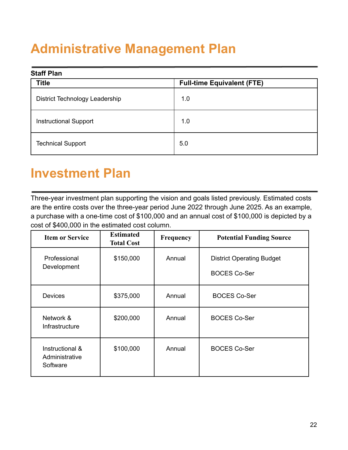# **Administrative Management Plan**

| <b>Staff Plan</b>              |                                   |  |  |  |
|--------------------------------|-----------------------------------|--|--|--|
| <b>Title</b>                   | <b>Full-time Equivalent (FTE)</b> |  |  |  |
| District Technology Leadership | 1.0                               |  |  |  |
| <b>Instructional Support</b>   | 1.0                               |  |  |  |
| <b>Technical Support</b>       | 5.0                               |  |  |  |

## **Investment Plan**

Three-year investment plan supporting the vision and goals listed previously. Estimated costs are the entire costs over the three-year period June 2022 through June 2025. As an example, a purchase with a one-time cost of \$100,000 and an annual cost of \$100,000 is depicted by a cost of \$400,000 in the estimated cost column.

| <b>Item or Service</b>                        | <b>Estimated</b><br><b>Total Cost</b> | <b>Frequency</b> | <b>Potential Funding Source</b>                         |
|-----------------------------------------------|---------------------------------------|------------------|---------------------------------------------------------|
| Professional<br>Development                   | \$150,000                             | Annual           | <b>District Operating Budget</b><br><b>BOCES Co-Ser</b> |
| <b>Devices</b>                                | \$375,000                             | Annual           | <b>BOCES Co-Ser</b>                                     |
| Network &<br>Infrastructure                   | \$200,000                             | Annual           | <b>BOCES Co-Ser</b>                                     |
| Instructional &<br>Administrative<br>Software | \$100,000                             | Annual           | <b>BOCES Co-Ser</b>                                     |